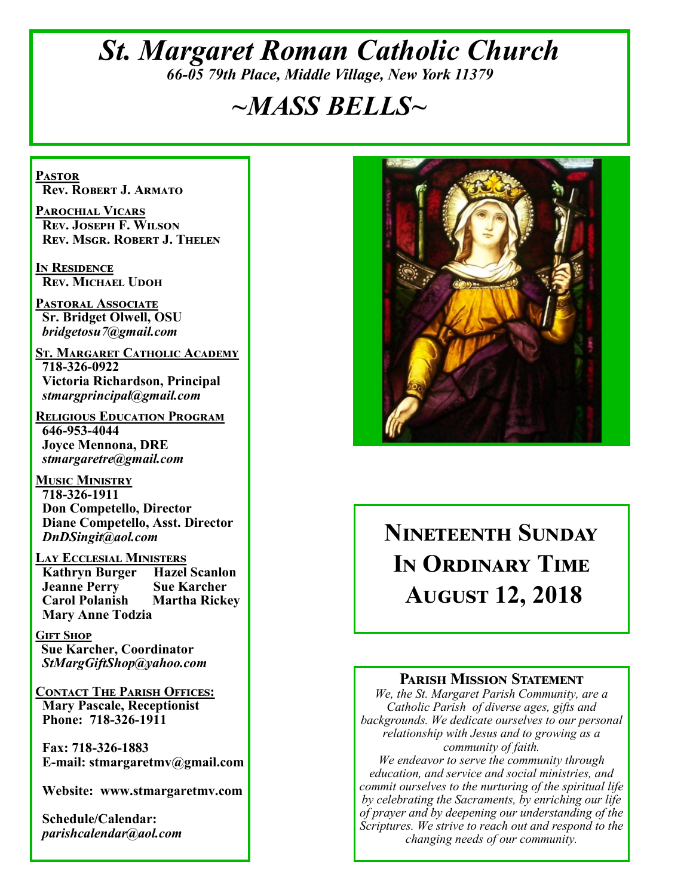# *St. Margaret Roman Catholic Church 66-05 79th Place, Middle Village, New York 11379*

# *~MASS BELLS~*

**Pastor Rev. Robert J. Armato**

**Parochial Vicars Rev. Joseph F. Wilson Rev. Msgr. Robert J. Thelen**

**In Residence Rev. Michael Udoh**

**Pastoral Associate Sr. Bridget Olwell, OSU**  *bridgetosu7@gmail.com*

**St. Margaret Catholic Academy 718-326-0922 Victoria Richardson, Principal**  *stmargprincipal@gmail.com*

**Religious Education Program 646-953-4044 Joyce Mennona, DRE** *stmargaretre@gmail.com*

**Music Ministry 718-326-1911 Don Competello, Director Diane Competello, Asst. Director** *DnDSingit@aol.com*

**Lay Ecclesial Ministers Kathryn Burger Jeanne Perry Sue Karcher Carol Polanish Martha Rickey Mary Anne Todzia**

**Gift Shop Sue Karcher, Coordinator** *StMargGiftShop@yahoo.com*

**Contact The Parish Offices: Mary Pascale, Receptionist Phone: 718-326-1911** 

 **Fax: 718-326-1883 E-mail: stmargaretmv@gmail.com**

 **Website: www.stmargaretmv.com**

 **Schedule/Calendar:** *parishcalendar@aol.com* 



# **Nineteenth Sunday In Ordinary Time August 12, 2018**

#### **Parish Mission Statement**

*We, the St. Margaret Parish Community, are a Catholic Parish of diverse ages, gifts and backgrounds. We dedicate ourselves to our personal relationship with Jesus and to growing as a community of faith.*

*We endeavor to serve the community through education, and service and social ministries, and commit ourselves to the nurturing of the spiritual life by celebrating the Sacraments, by enriching our life of prayer and by deepening our understanding of the Scriptures. We strive to reach out and respond to the changing needs of our community.*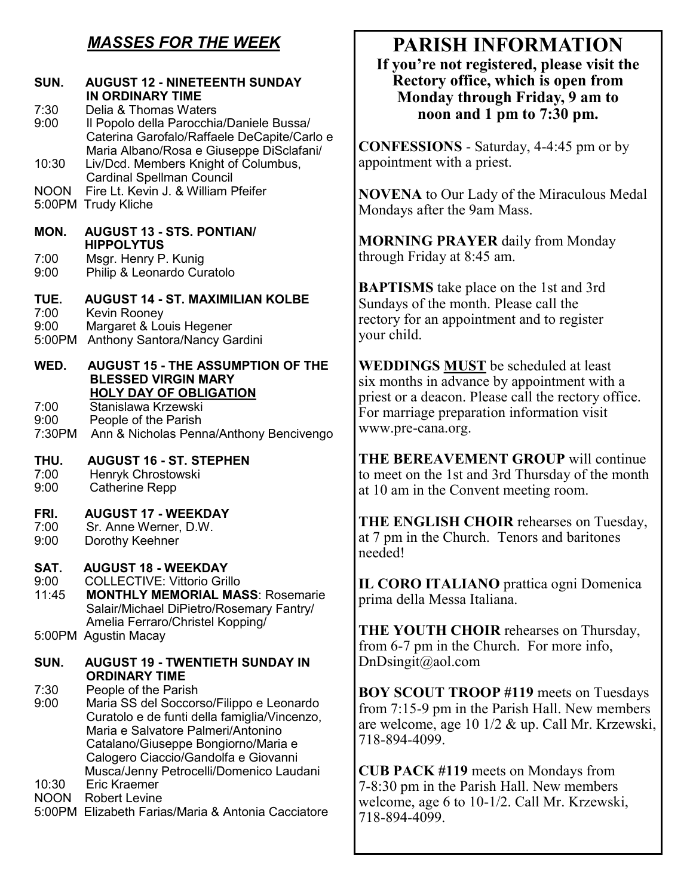# *MASSES FOR THE WEEK*

| SUN.                           | <b>AUGUST 12 - NINETEENTH SUNDAY</b><br><b>IN ORDINARY TIME</b>                                                                                                                                                                                                                  |
|--------------------------------|----------------------------------------------------------------------------------------------------------------------------------------------------------------------------------------------------------------------------------------------------------------------------------|
| 7:30<br>9:00                   | Delia & Thomas Waters<br>Il Popolo della Parocchia/Daniele Bussa/<br>Caterina Garofalo/Raffaele DeCapite/Carlo e                                                                                                                                                                 |
| 10:30                          | Maria Albano/Rosa e Giuseppe DiSclafani/<br>Liv/Dcd. Members Knight of Columbus,                                                                                                                                                                                                 |
| <b>NOON</b><br>5:00PM          | <b>Cardinal Spellman Council</b><br>Fire Lt. Kevin J. & William Pfeifer<br><b>Trudy Kliche</b>                                                                                                                                                                                   |
| MON.                           | <b>AUGUST 13 - STS, PONTIAN/</b><br><b>HIPPOLYTUS</b>                                                                                                                                                                                                                            |
| 7:00<br>9:00                   | Msgr. Henry P. Kunig<br>Philip & Leonardo Curatolo                                                                                                                                                                                                                               |
| TUE.<br>7:00<br>9:00<br>5:00PM | <b>AUGUST 14 - ST. MAXIMILIAN KOLBE</b><br>Kevin Rooney<br>Margaret & Louis Hegener<br>Anthony Santora/Nancy Gardini                                                                                                                                                             |
| WED.                           | <b>AUGUST 15 - THE ASSUMPTION OF THE</b><br><b>BLESSED VIRGIN MARY</b>                                                                                                                                                                                                           |
| 7:00<br>9:00<br>7:30PM         | <b>HOLY DAY OF OBLIGATION</b><br>Stanislawa Krzewski<br>People of the Parish<br>Ann & Nicholas Penna/Anthony Bencivengo                                                                                                                                                          |
| THU.<br>7:00<br>9:00           | <b>AUGUST 16 - ST. STEPHEN</b><br>Henryk Chrostowski<br><b>Catherine Repp</b>                                                                                                                                                                                                    |
| FRI.<br>7:00<br>9:00           | <b>AUGUST 17 - WEEKDAY</b><br>Sr. Anne Werner, D.W.<br>Dorothy Keehner                                                                                                                                                                                                           |
| SAT.<br>9:00<br>11:45          | <b>AUGUST 18 - WEEKDAY</b><br><b>COLLECTIVE: Vittorio Grillo</b><br><b>MONTHLY MEMORIAL MASS: Rosemarie</b><br>Salair/Michael DiPietro/Rosemary Fantry/<br>Amelia Ferraro/Christel Kopping/                                                                                      |
|                                | 5:00PM Agustin Macay                                                                                                                                                                                                                                                             |
| SUN.                           | <b>AUGUST 19 - TWENTIETH SUNDAY IN</b><br><b>ORDINARY TIME</b>                                                                                                                                                                                                                   |
| 7:30<br>9:00                   | People of the Parish<br>Maria SS del Soccorso/Filippo e Leonardo<br>Curatolo e de funti della famiglia/Vincenzo,<br>Maria e Salvatore Palmeri/Antonino<br>Catalano/Giuseppe Bongiorno/Maria e<br>Calogero Ciaccio/Gandolfa e Giovanni<br>Musca/Jenny Petrocelli/Domenico Laudani |
| 10:30                          | <b>Eric Kraemer</b>                                                                                                                                                                                                                                                              |

NOON Robert Levine

5:00PM Elizabeth Farias/Maria & Antonia Cacciatore

# **PARISH INFORMATION**

**If you're not registered, please visit the Rectory office, which is open from Monday through Friday, 9 am to noon and 1 pm to 7:30 pm.**

**CONFESSIONS** - Saturday, 4-4:45 pm or by appointment with a priest.

**NOVENA** to Our Lady of the Miraculous Medal Mondays after the 9am Mass.

**MORNING PRAYER** daily from Monday through Friday at 8:45 am.

**BAPTISMS** take place on the 1st and 3rd Sundays of the month. Please call the rectory for an appointment and to register your child.

**WEDDINGS MUST** be scheduled at least six months in advance by appointment with a priest or a deacon. Please call the rectory office. For marriage preparation information visit www.pre-cana.org.

**THE BEREAVEMENT GROUP** will continue to meet on the 1st and 3rd Thursday of the month at 10 am in the Convent meeting room.

**THE ENGLISH CHOIR** rehearses on Tuesday, at 7 pm in the Church. Tenors and baritones needed!

**IL CORO ITALIANO** prattica ogni Domenica prima della Messa Italiana.

**THE YOUTH CHOIR** rehearses on Thursday, from 6-7 pm in the Church. For more info, DnDsingit@aol.com

**BOY SCOUT TROOP #119** meets on Tuesdays from 7:15-9 pm in the Parish Hall. New members are welcome, age 10 1/2 & up. Call Mr. Krzewski, 718-894-4099.

**CUB PACK #119** meets on Mondays from 7-8:30 pm in the Parish Hall. New members welcome, age 6 to 10-1/2. Call Mr. Krzewski, 718-894-4099.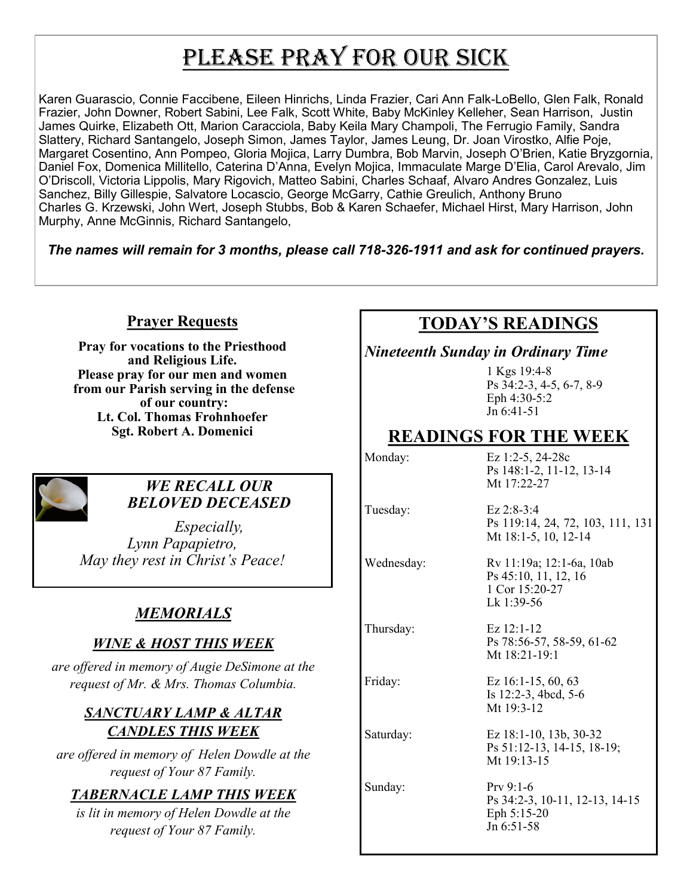# PLEASE PRAY FOR OUR SICK

Karen Guarascio, Connie Faccibene, Eileen Hinrichs, Linda Frazier, Cari Ann Falk-LoBello, Glen Falk, Ronald Frazier, John Downer, Robert Sabini, Lee Falk, Scott White, Baby McKinley Kelleher, Sean Harrison, Justin James Quirke, Elizabeth Ott, Marion Caracciola, Baby Keila Mary Champoli, The Ferrugio Family, Sandra Slattery, Richard Santangelo, Joseph Simon, James Taylor, James Leung, Dr. Joan Virostko, Alfie Poje, Margaret Cosentino, Ann Pompeo, Gloria Mojica, Larry Dumbra, Bob Marvin, Joseph O'Brien, Katie Bryzgornia, Daniel Fox, Domenica Millitello, Caterina D'Anna, Evelyn Mojica, Immaculate Marge D'Elia, Carol Arevalo, Jim O'Driscoll, Victoria Lippolis, Mary Rigovich, Matteo Sabini, Charles Schaaf, Alvaro Andres Gonzalez, Luis Sanchez, Billy Gillespie, Salvatore Locascio, George McGarry, Cathie Greulich, Anthony Bruno Charles G. Krzewski, John Wert, Joseph Stubbs, Bob & Karen Schaefer, Michael Hirst, Mary Harrison, John Murphy, Anne McGinnis, Richard Santangelo,

*The names will remain for 3 months, please call 718-326-1911 and ask for continued prayers.*

#### **Prayer Requests**

**Pray for vocations to the Priesthood and Religious Life. Please pray for our men and women from our Parish serving in the defense of our country: Lt. Col. Thomas Frohnhoefer Sgt. Robert A. Domenici** 



#### *WE RECALL OUR BELOVED DECEASED*

*Especially, Lynn Papapietro, May they rest in Christ's Peace!*

## *MEMORIALS*

#### *WINE & HOST THIS WEEK*

*are offered in memory of Augie DeSimone at the request of Mr. & Mrs. Thomas Columbia.* 

#### *SANCTUARY LAMP & ALTAR CANDLES THIS WEEK*

*are offered in memory of Helen Dowdle at the request of Your 87 Family.*

#### *TABERNACLE LAMP THIS WEEK*

*is lit in memory of Helen Dowdle at the request of Your 87 Family.*

# **TODAY'S READINGS**

#### *Nineteenth Sunday in Ordinary Time*

1 Kgs 19:4-8 Ps 34:2-3, 4-5, 6-7, 8-9 Eph 4:30-5:2  $J_n$  6:41-51

# **READINGS FOR THE WEEK**

Monday: Ez 1:2-5, 24-28c Ps 148:1-2, 11-12, 13-14 Mt 17:22-27

Tuesday: Ez 2:8-3:4 Ps 119:14, 24, 72, 103, 111, 131 Mt 18:1-5, 10, 12-14

Sunday: Prv 9:1-6

Wednesday: Rv 11:19a; 12:1-6a, 10ab Ps 45:10, 11, 12, 16

1 Cor 15:20-27 Lk 1:39-56 Thursday: Ez 12:1-12

Ps 78:56-57, 58-59, 61-62 Mt 18:21-19:1

Friday: Ez 16:1-15, 60, 63 Is 12:2-3, 4bcd, 5-6 Mt 19:3-12

Saturday: Ez 18:1-10, 13b, 30-32 Ps 51:12-13, 14-15, 18-19; Mt 19:13-15

> Ps 34:2-3, 10-11, 12-13, 14-15 Eph 5:15-20 Jn 6:51-58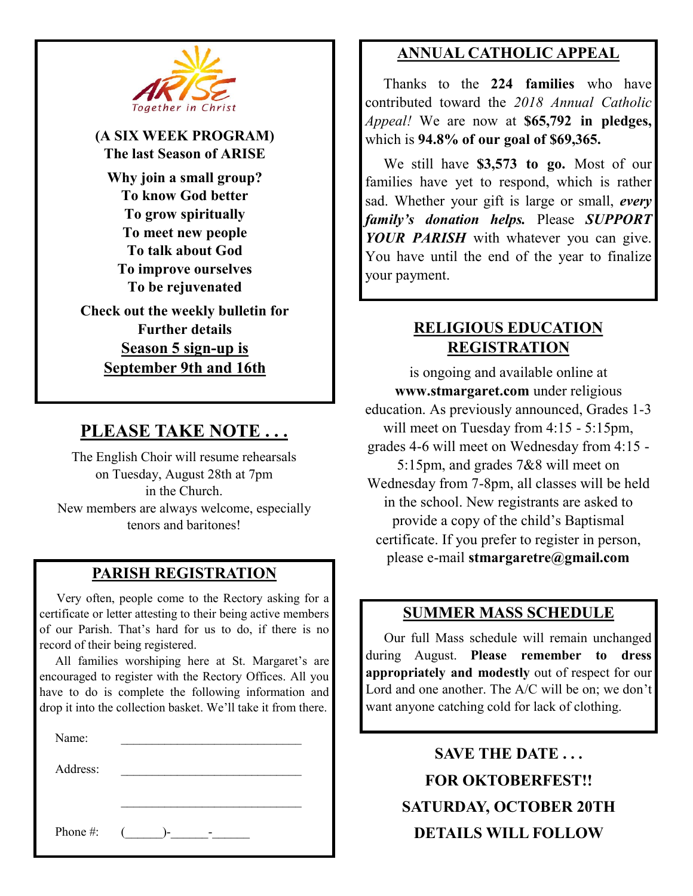

**(A SIX WEEK PROGRAM) The last Season of ARISE Why join a small group? To know God better To grow spiritually To meet new people To talk about God To improve ourselves To be rejuvenated Check out the weekly bulletin for Further details Season 5 sign-up is September 9th and 16th**

## **PLEASE TAKE NOTE . . .**

The English Choir will resume rehearsals on Tuesday, August 28th at 7pm in the Church. New members are always welcome, especially tenors and baritones!

#### **PARISH REGISTRATION**

 Very often, people come to the Rectory asking for a certificate or letter attesting to their being active members of our Parish. That's hard for us to do, if there is no record of their being registered.

 All families worshiping here at St. Margaret's are encouraged to register with the Rectory Offices. All you have to do is complete the following information and drop it into the collection basket. We'll take it from there.

 $\mathcal{L}_\text{max}$ 

Name:

Address: \_\_\_\_\_\_\_\_\_\_\_\_\_\_\_\_\_\_\_\_\_\_\_\_\_\_\_\_\_

Phone #:  $($  )- -

#### **ANNUAL CATHOLIC APPEAL**

 Thanks to the **224 families** who have contributed toward the *2018 Annual Catholic Appeal!* We are now at **\$65,792 in pledges,**  which is **94.8% of our goal of \$69,365.** 

 We still have **\$3,573 to go.** Most of our families have yet to respond, which is rather sad. Whether your gift is large or small, *every family's donation helps.* Please *SUPPORT YOUR PARISH* with whatever you can give. You have until the end of the year to finalize your payment.

#### **RELIGIOUS EDUCATION REGISTRATION**

is ongoing and available online at **www.stmargaret.com** under religious education. As previously announced, Grades 1-3 will meet on Tuesday from 4:15 - 5:15pm, grades 4-6 will meet on Wednesday from 4:15 - 5:15pm, and grades 7&8 will meet on Wednesday from 7-8pm, all classes will be held in the school. New registrants are asked to provide a copy of the child's Baptismal certificate. If you prefer to register in person, please e-mail **stmargaretre@gmail.com**

#### **SUMMER MASS SCHEDULE**

 Our full Mass schedule will remain unchanged during August. **Please remember to dress appropriately and modestly** out of respect for our Lord and one another. The A/C will be on; we don't want anyone catching cold for lack of clothing.

> **SAVE THE DATE . . . FOR OKTOBERFEST!! SATURDAY, OCTOBER 20TH DETAILS WILL FOLLOW**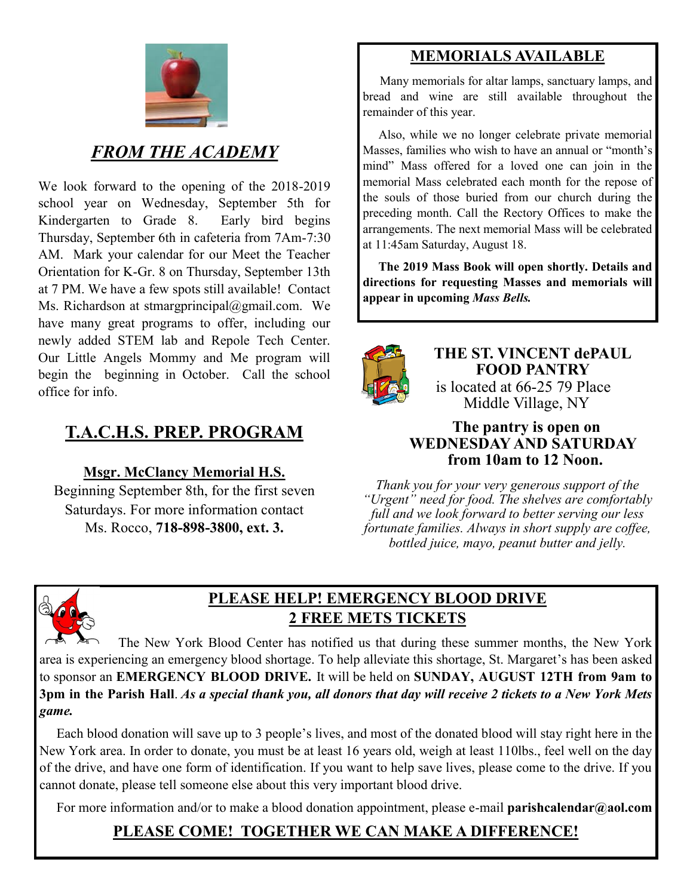

## *FROM THE ACADEMY*

We look forward to the opening of the 2018-2019 school year on Wednesday, September 5th for Kindergarten to Grade 8. Early bird begins Thursday, September 6th in cafeteria from 7Am-7:30 AM. Mark your calendar for our Meet the Teacher Orientation for K-Gr. 8 on Thursday, September 13th at 7 PM. We have a few spots still available! Contact Ms. Richardson at stmargprincipal@gmail.com. We have many great programs to offer, including our newly added STEM lab and Repole Tech Center. Our Little Angels Mommy and Me program will begin the beginning in October. Call the school office for info.

# **T.A.C.H.S. PREP. PROGRAM**

#### **Msgr. McClancy Memorial H.S.**

Beginning September 8th, for the first seven Saturdays. For more information contact Ms. Rocco, **718-898-3800, ext. 3.**

## **MEMORIALS AVAILABLE**

Many memorials for altar lamps, sanctuary lamps, and bread and wine are still available throughout the remainder of this year.

 Also, while we no longer celebrate private memorial Masses, families who wish to have an annual or "month's mind" Mass offered for a loved one can join in the memorial Mass celebrated each month for the repose of the souls of those buried from our church during the preceding month. Call the Rectory Offices to make the arrangements. The next memorial Mass will be celebrated at 11:45am Saturday, August 18.

 **The 2019 Mass Book will open shortly. Details and directions for requesting Masses and memorials will appear in upcoming** *Mass Bells.* 



**THE ST. VINCENT dePAUL FOOD PANTRY** is located at 66-25 79 Place Middle Village, NY

#### **The pantry is open on WEDNESDAY AND SATURDAY from 10am to 12 Noon.**

*Thank you for your very generous support of the "Urgent" need for food. The shelves are comfortably full and we look forward to better serving our less fortunate families. Always in short supply are coffee, bottled juice, mayo, peanut butter and jelly.*



#### **PLEASE HELP! EMERGENCY BLOOD DRIVE 2 FREE METS TICKETS**

 The New York Blood Center has notified us that during these summer months, the New York area is experiencing an emergency blood shortage. To help alleviate this shortage, St. Margaret's has been asked to sponsor an **EMERGENCY BLOOD DRIVE.** It will be held on **SUNDAY, AUGUST 12TH from 9am to 3pm in the Parish Hall**. *As a special thank you, all donors that day will receive 2 tickets to a New York Mets game.*

 Each blood donation will save up to 3 people's lives, and most of the donated blood will stay right here in the New York area. In order to donate, you must be at least 16 years old, weigh at least 110lbs., feel well on the day of the drive, and have one form of identification. If you want to help save lives, please come to the drive. If you cannot donate, please tell someone else about this very important blood drive.

For more information and/or to make a blood donation appointment, please e-mail **parishcalendar@aol.com**

# **PLEASE COME! TOGETHER WE CAN MAKE A DIFFERENCE!**